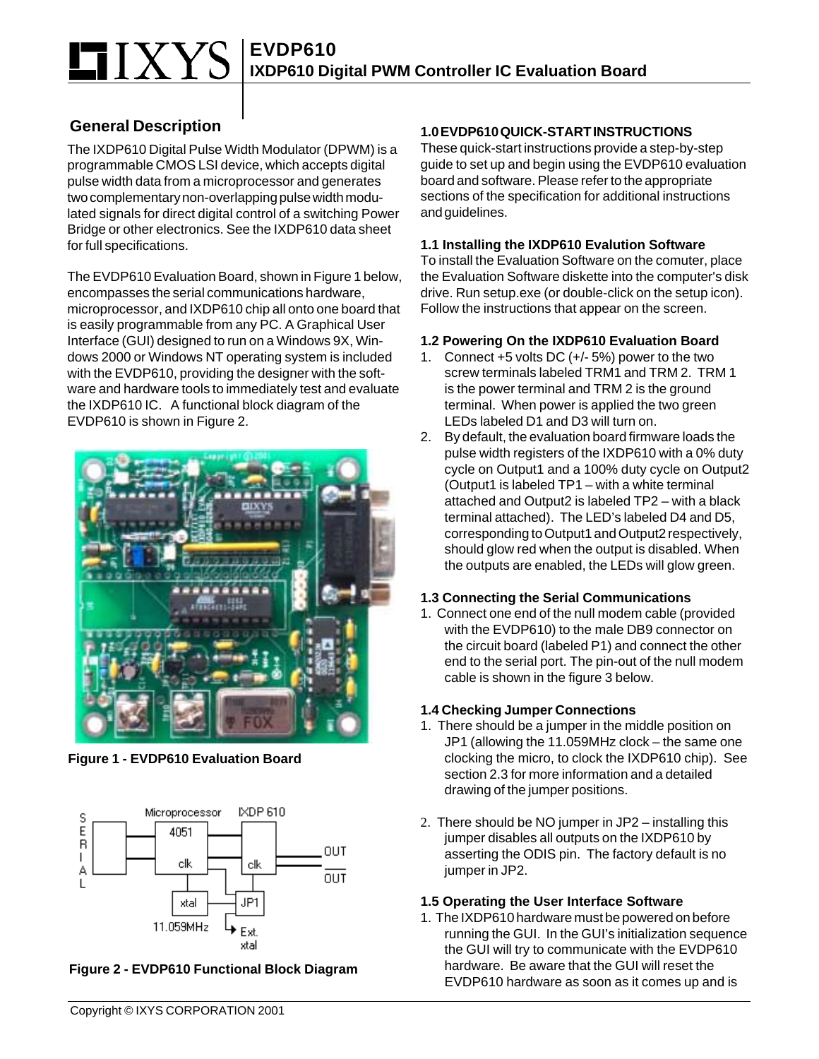# **EVDP610 IXDP610 Digital PWM Controller IC Evaluation Board**

## **General Description**

The IXDP610 Digital Pulse Width Modulator (DPWM) is a programmable CMOS LSI device, which accepts digital pulse width data from a microprocessor and generates two complementary non-overlapping pulse width modulated signals for direct digital control of a switching Power Bridge or other electronics. See the IXDP610 data sheet for full specifications.

The EVDP610 Evaluation Board, shown in Figure 1 below, encompasses the serial communications hardware, microprocessor, and IXDP610 chip all onto one board that is easily programmable from any PC. A Graphical User Interface (GUI) designed to run on a Windows 9X, Windows 2000 or Windows NT operating system is included with the EVDP610, providing the designer with the software and hardware tools to immediately test and evaluate the IXDP610 IC. A functional block diagram of the EVDP610 is shown in Figure 2.



**Figure 1 - EVDP610 Evaluation Board**



**Figure 2 - EVDP610 Functional Block Diagram**

### **1.0 EVDP610 QUICK-START INSTRUCTIONS**

These quick-start instructions provide a step-by-step guide to set up and begin using the EVDP610 evaluation board and software. Please refer to the appropriate sections of the specification for additional instructions and guidelines.

#### **1.1 Installing the IXDP610 Evalution Software**

To install the Evaluation Software on the comuter, place the Evaluation Software diskette into the computer's disk drive. Run setup.exe (or double-click on the setup icon). Follow the instructions that appear on the screen.

#### **1.2 Powering On the IXDP610 Evaluation Board**

- 1. Connect +5 volts DC (+/- 5%) power to the two screw terminals labeled TRM1 and TRM 2. TRM 1 is the power terminal and TRM 2 is the ground terminal. When power is applied the two green LEDs labeled D1 and D3 will turn on.
- 2. By default, the evaluation board firmware loads the pulse width registers of the IXDP610 with a 0% duty cycle on Output1 and a 100% duty cycle on Output2 (Output1 is labeled TP1 – with a white terminal attached and Output2 is labeled TP2 – with a black terminal attached). The LED's labeled D4 and D5, corresponding to Output1 and Output2 respectively, should glow red when the output is disabled. When the outputs are enabled, the LEDs will glow green.

#### **1.3 Connecting the Serial Communications**

1. Connect one end of the null modem cable (provided with the EVDP610) to the male DB9 connector on the circuit board (labeled P1) and connect the other end to the serial port. The pin-out of the null modem cable is shown in the figure 3 below.

#### **1.4 Checking Jumper Connections**

- 1. There should be a jumper in the middle position on JP1 (allowing the 11.059MHz clock – the same one clocking the micro, to clock the IXDP610 chip). See section 2.3 for more information and a detailed drawing of the jumper positions.
- 2. There should be NO jumper in JP2 installing this jumper disables all outputs on the IXDP610 by asserting the ODIS pin. The factory default is no jumper in JP2.

#### **1.5 Operating the User Interface Software**

1. The IXDP610 hardware must be powered on before running the GUI. In the GUI's initialization sequence the GUI will try to communicate with the EVDP610 hardware. Be aware that the GUI will reset the EVDP610 hardware as soon as it comes up and is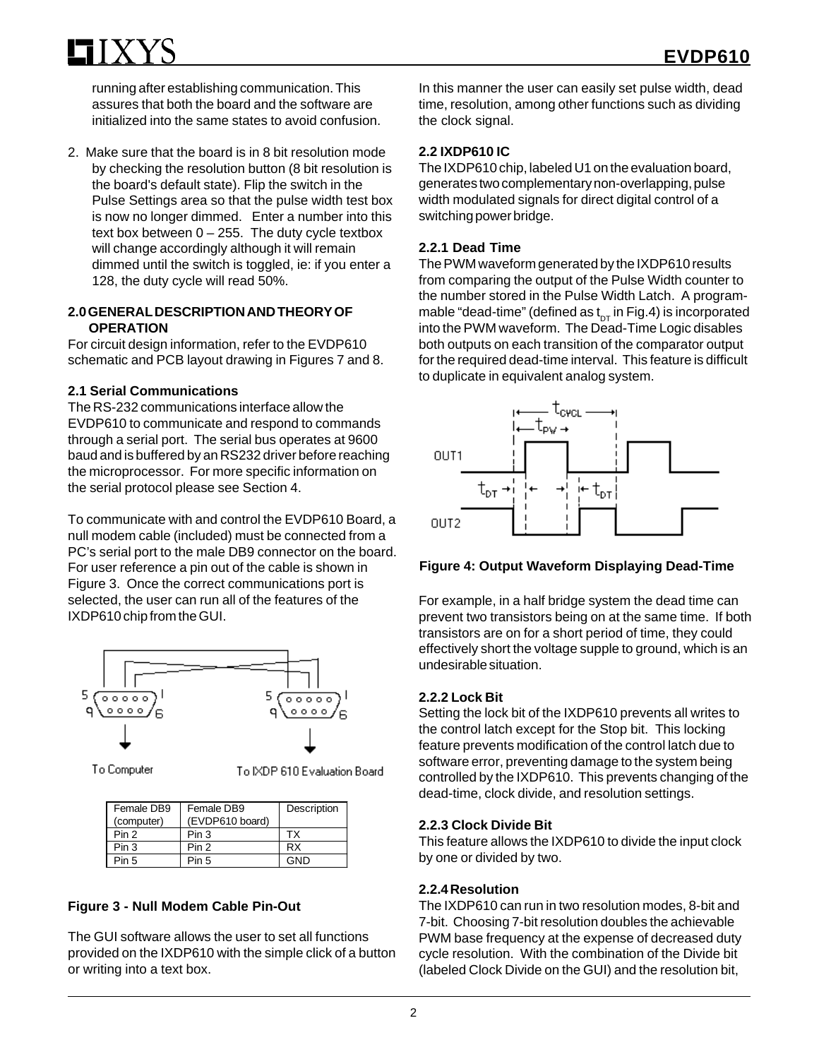running after establishing communication. This assures that both the board and the software are initialized into the same states to avoid confusion.

2. Make sure that the board is in 8 bit resolution mode by checking the resolution button (8 bit resolution is the board's default state). Flip the switch in the Pulse Settings area so that the pulse width test box is now no longer dimmed. Enter a number into this text box between  $0 - 255$ . The duty cycle textbox will change accordingly although it will remain dimmed until the switch is toggled, ie: if you enter a 128, the duty cycle will read 50%.

#### **2.0 GENERAL DESCRIPTION AND THEORY OF OPERATION**

For circuit design information, refer to the EVDP610 schematic and PCB layout drawing in Figures 7 and 8.

#### **2.1 Serial Communications**

The RS-232 communications interface allow the EVDP610 to communicate and respond to commands through a serial port. The serial bus operates at 9600 baud and is buffered by an RS232 driver before reaching the microprocessor. For more specific information on the serial protocol please see Section 4.

To communicate with and control the EVDP610 Board, a null modem cable (included) must be connected from a PC's serial port to the male DB9 connector on the board. For user reference a pin out of the cable is shown in Figure 3. Once the correct communications port is selected, the user can run all of the features of the IXDP610 chip from the GUI.



To Computer

To IXDP 610 Evaluation Board

| Female DB9<br>(computer) | Female DB9<br>(EVDP610 board) | Description |
|--------------------------|-------------------------------|-------------|
| Pin <sub>2</sub>         | Pin 3                         | TX.         |
| Pin 3                    | Pin <sub>2</sub>              | RX          |
| Pin 5                    | Pin 5                         | חוח         |

#### **Figure 3 - Null Modem Cable Pin-Out**

The GUI software allows the user to set all functions provided on the IXDP610 with the simple click of a button or writing into a text box.

In this manner the user can easily set pulse width, dead time, resolution, among other functions such as dividing the clock signal.

#### **2.2 IXDP610 IC**

The IXDP610 chip, labeled U1 on the evaluation board, generates two complementary non-overlapping, pulse width modulated signals for direct digital control of a switching power bridge.

#### **2.2.1 Dead Time**

The PWM waveform generated by the IXDP610 results from comparing the output of the Pulse Width counter to the number stored in the Pulse Width Latch. A programmable "dead-time" (defined as  $t_{DT}$  in Fig.4) is incorporated into the PWM waveform. The Dead-Time Logic disables both outputs on each transition of the comparator output for the required dead-time interval. This feature is difficult to duplicate in equivalent analog system.



#### **Figure 4: Output Waveform Displaying Dead-Time**

For example, in a half bridge system the dead time can prevent two transistors being on at the same time. If both transistors are on for a short period of time, they could effectively short the voltage supple to ground, which is an undesirable situation.

#### **2.2.2 Lock Bit**

Setting the lock bit of the IXDP610 prevents all writes to the control latch except for the Stop bit. This locking feature prevents modification of the control latch due to software error, preventing damage to the system being controlled by the IXDP610. This prevents changing of the dead-time, clock divide, and resolution settings.

#### **2.2.3 Clock Divide Bit**

This feature allows the IXDP610 to divide the input clock by one or divided by two.

#### **2.2.4 Resolution**

The IXDP610 can run in two resolution modes, 8-bit and 7-bit. Choosing 7-bit resolution doubles the achievable PWM base frequency at the expense of decreased duty cycle resolution. With the combination of the Divide bit (labeled Clock Divide on the GUI) and the resolution bit,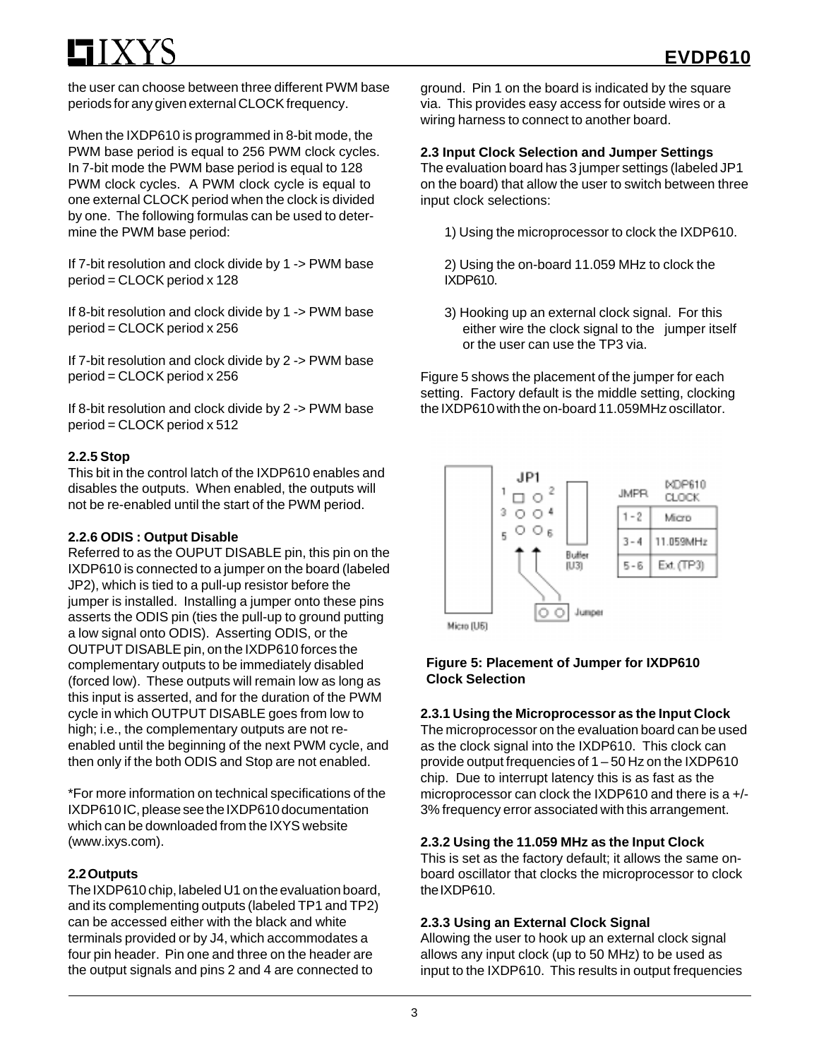the user can choose between three different PWM base periods for any given external CLOCK frequency.

When the IXDP610 is programmed in 8-bit mode, the PWM base period is equal to 256 PWM clock cycles. In 7-bit mode the PWM base period is equal to 128 PWM clock cycles. A PWM clock cycle is equal to one external CLOCK period when the clock is divided by one. The following formulas can be used to determine the PWM base period:

If 7-bit resolution and clock divide by 1 -> PWM base period = CLOCK period x 128

If 8-bit resolution and clock divide by 1 -> PWM base period = CLOCK period x 256

If 7-bit resolution and clock divide by 2 -> PWM base period = CLOCK period x 256

If 8-bit resolution and clock divide by 2 -> PWM base period = CLOCK period x 512

#### **2.2.5 Stop**

This bit in the control latch of the IXDP610 enables and disables the outputs. When enabled, the outputs will not be re-enabled until the start of the PWM period.

#### **2.2.6 ODIS : Output Disable**

Referred to as the OUPUT DISABLE pin, this pin on the IXDP610 is connected to a jumper on the board (labeled JP2), which is tied to a pull-up resistor before the jumper is installed. Installing a jumper onto these pins asserts the ODIS pin (ties the pull-up to ground putting a low signal onto ODIS). Asserting ODIS, or the OUTPUT DISABLE pin, on the IXDP610 forces the complementary outputs to be immediately disabled (forced low). These outputs will remain low as long as this input is asserted, and for the duration of the PWM cycle in which OUTPUT DISABLE goes from low to high; i.e., the complementary outputs are not reenabled until the beginning of the next PWM cycle, and then only if the both ODIS and Stop are not enabled.

\*For more information on technical specifications of the IXDP610 IC, please see the IXDP610 documentation which can be downloaded from the IXYS website (www.ixys.com).

#### **2.2 Outputs**

The IXDP610 chip, labeled U1 on the evaluation board, and its complementing outputs (labeled TP1 and TP2) can be accessed either with the black and white terminals provided or by J4, which accommodates a four pin header. Pin one and three on the header are the output signals and pins 2 and 4 are connected to

ground. Pin 1 on the board is indicated by the square via. This provides easy access for outside wires or a wiring harness to connect to another board.

#### **2.3 Input Clock Selection and Jumper Settings**

The evaluation board has 3 jumper settings (labeled JP1 on the board) that allow the user to switch between three input clock selections:

1) Using the microprocessor to clock the IXDP610.

2) Using the on-board 11.059 MHz to clock the IXDP610.

3) Hooking up an external clock signal. For this either wire the clock signal to the jumper itself or the user can use the TP3 via.

Figure 5 shows the placement of the jumper for each setting. Factory default is the middle setting, clocking the IXDP610 with the on-board 11.059MHz oscillator.



#### **Figure 5: Placement of Jumper for IXDP610 Clock Selection**

#### **2.3.1 Using the Microprocessor as the Input Clock**

The microprocessor on the evaluation board can be used as the clock signal into the IXDP610. This clock can provide output frequencies of 1 – 50 Hz on the IXDP610 chip. Due to interrupt latency this is as fast as the microprocessor can clock the IXDP610 and there is a +/- 3% frequency error associated with this arrangement.

#### **2.3.2 Using the 11.059 MHz as the Input Clock**

This is set as the factory default; it allows the same onboard oscillator that clocks the microprocessor to clock the IXDP610.

#### **2.3.3 Using an External Clock Signal**

Allowing the user to hook up an external clock signal allows any input clock (up to 50 MHz) to be used as input to the IXDP610. This results in output frequencies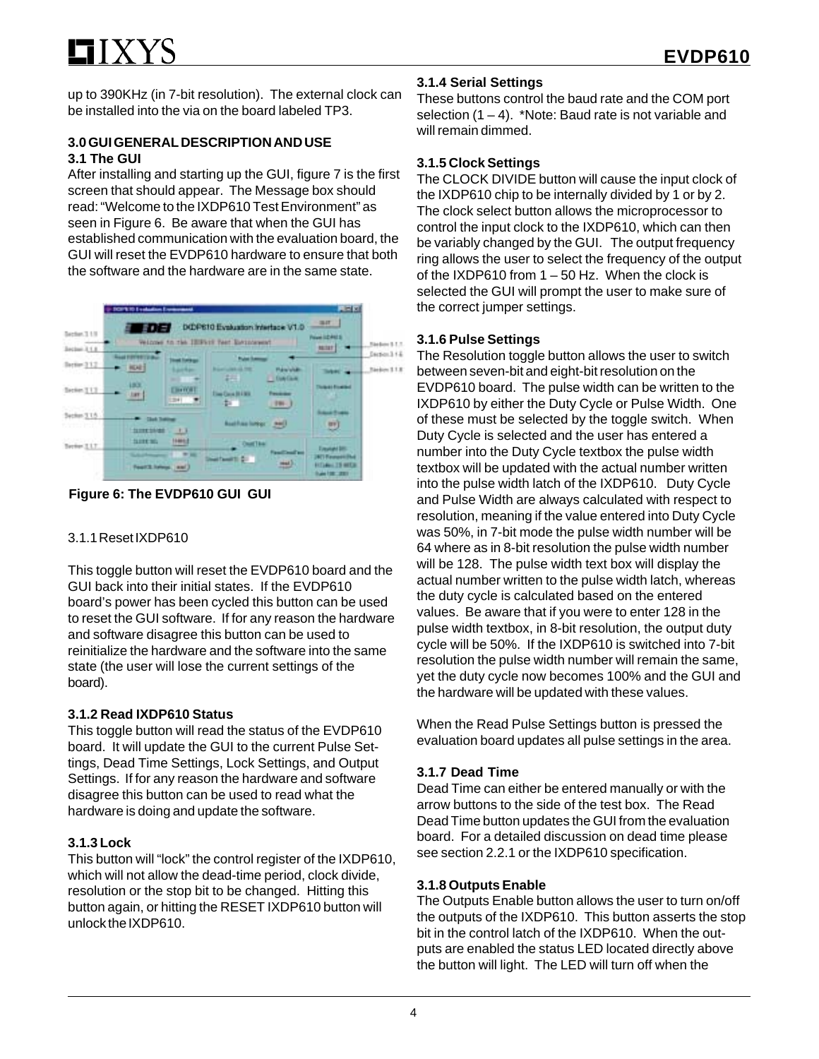up to 390KHz (in 7-bit resolution). The external clock can be installed into the via on the board labeled TP3.

### **3.0 GUI GENERAL DESCRIPTION AND USE 3.1 The GUI**

After installing and starting up the GUI, figure 7 is the first screen that should appear. The Message box should read: "Welcome to the IXDP610 Test Environment" as seen in Figure 6. Be aware that when the GUI has established communication with the evaluation board, the GUI will reset the EVDP610 hardware to ensure that both the software and the hardware are in the same state.



**Figure 6: The EVDP610 GUI GUI**

## 3.1.1 Reset IXDP610

This toggle button will reset the EVDP610 board and the GUI back into their initial states. If the EVDP610 board's power has been cycled this button can be used to reset the GUI software. If for any reason the hardware and software disagree this button can be used to reinitialize the hardware and the software into the same state (the user will lose the current settings of the board).

## **3.1.2 Read IXDP610 Status**

This toggle button will read the status of the EVDP610 board. It will update the GUI to the current Pulse Settings, Dead Time Settings, Lock Settings, and Output Settings. If for any reason the hardware and software disagree this button can be used to read what the hardware is doing and update the software.

## **3.1.3 Lock**

This button will "lock" the control register of the IXDP610, which will not allow the dead-time period, clock divide, resolution or the stop bit to be changed. Hitting this button again, or hitting the RESET IXDP610 button will unlock the IXDP610.

## **3.1.4 Serial Settings**

These buttons control the baud rate and the COM port selection  $(1 – 4)$ . \*Note: Baud rate is not variable and will remain dimmed.

## **3.1.5 Clock Settings**

The CLOCK DIVIDE button will cause the input clock of the IXDP610 chip to be internally divided by 1 or by 2. The clock select button allows the microprocessor to control the input clock to the IXDP610, which can then be variably changed by the GUI. The output frequency ring allows the user to select the frequency of the output of the IXDP610 from 1 – 50 Hz. When the clock is selected the GUI will prompt the user to make sure of the correct jumper settings.

## **3.1.6 Pulse Settings**

The Resolution toggle button allows the user to switch between seven-bit and eight-bit resolution on the EVDP610 board. The pulse width can be written to the IXDP610 by either the Duty Cycle or Pulse Width. One of these must be selected by the toggle switch. When Duty Cycle is selected and the user has entered a number into the Duty Cycle textbox the pulse width textbox will be updated with the actual number written into the pulse width latch of the IXDP610. Duty Cycle and Pulse Width are always calculated with respect to resolution, meaning if the value entered into Duty Cycle was 50%, in 7-bit mode the pulse width number will be 64 where as in 8-bit resolution the pulse width number will be 128. The pulse width text box will display the actual number written to the pulse width latch, whereas the duty cycle is calculated based on the entered values. Be aware that if you were to enter 128 in the pulse width textbox, in 8-bit resolution, the output duty cycle will be 50%. If the IXDP610 is switched into 7-bit resolution the pulse width number will remain the same, yet the duty cycle now becomes 100% and the GUI and the hardware will be updated with these values.

When the Read Pulse Settings button is pressed the evaluation board updates all pulse settings in the area.

## **3.1.7 Dead Time**

Dead Time can either be entered manually or with the arrow buttons to the side of the test box. The Read Dead Time button updates the GUI from the evaluation board. For a detailed discussion on dead time please see section 2.2.1 or the IXDP610 specification.

## **3.1.8 Outputs Enable**

The Outputs Enable button allows the user to turn on/off the outputs of the IXDP610. This button asserts the stop bit in the control latch of the IXDP610. When the outputs are enabled the status LED located directly above the button will light. The LED will turn off when the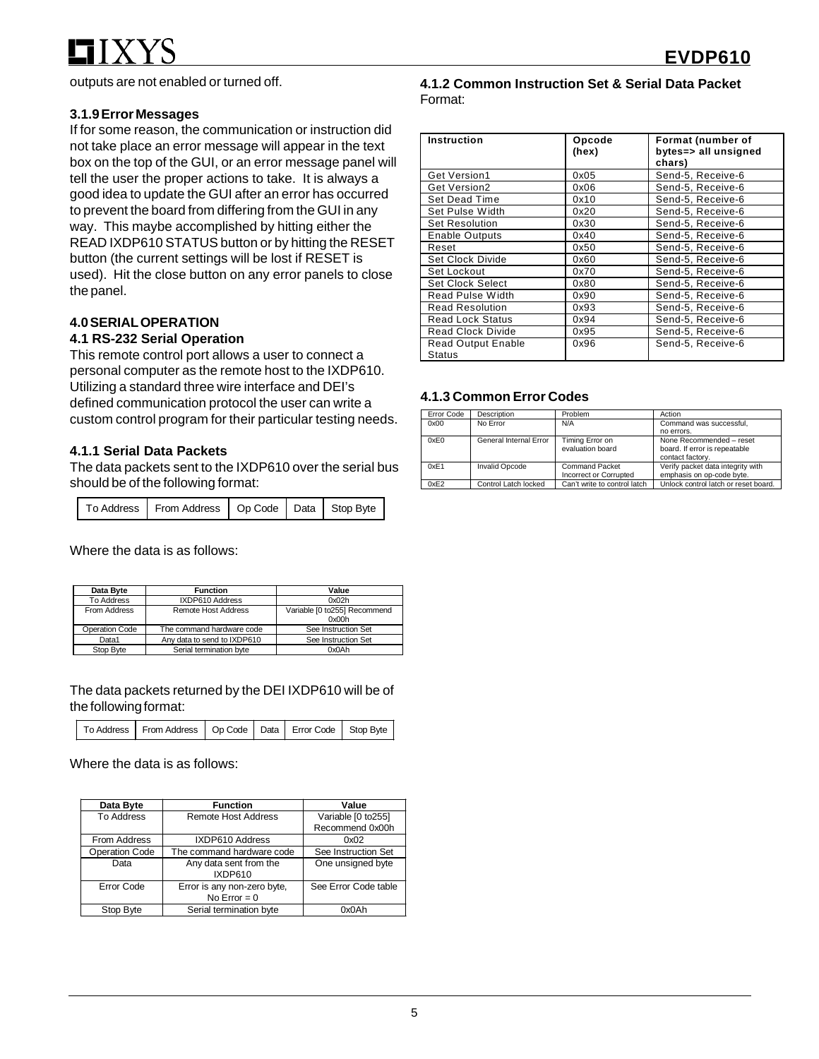outputs are not enabled or turned off.

#### **3.1.9 Error Messages**

If for some reason, the communication or instruction did not take place an error message will appear in the text box on the top of the GUI, or an error message panel will tell the user the proper actions to take. It is always a good idea to update the GUI after an error has occurred to prevent the board from differing from the GUI in any way. This maybe accomplished by hitting either the READ IXDP610 STATUS button or by hitting the RESET button (the current settings will be lost if RESET is used). Hit the close button on any error panels to close the panel.

#### **4.0 SERIAL OPERATION**

#### **4.1 RS-232 Serial Operation**

This remote control port allows a user to connect a personal computer as the remote host to the IXDP610. Utilizing a standard three wire interface and DEI's defined communication protocol the user can write a custom control program for their particular testing needs.

#### **4.1.1 Serial Data Packets**

The data packets sent to the IXDP610 over the serial bus should be of the following format:

| To Address   From Address   Op Code   Data   Stop Byte |  |  |  |
|--------------------------------------------------------|--|--|--|
|--------------------------------------------------------|--|--|--|

Where the data is as follows:

| Data Byte             | <b>Function</b>             | Value                        |
|-----------------------|-----------------------------|------------------------------|
| <b>To Address</b>     | IXDP610 Address             | 0x02h                        |
| From Address          | Remote Host Address         | Variable [0 to255] Recommend |
|                       |                             | 0x00h                        |
| <b>Operation Code</b> | The command hardware code   | See Instruction Set          |
| Data1                 | Any data to send to IXDP610 | See Instruction Set          |
| Stop Byte             | Serial termination byte     | 0x0Ah                        |

The data packets returned by the DEI IXDP610 will be of the following format:

|  | To Address   From Address   Op Code   Data   Error Code   Stop Byte |  |  |  |  |
|--|---------------------------------------------------------------------|--|--|--|--|
|--|---------------------------------------------------------------------|--|--|--|--|

Where the data is as follows:

| Data Byte             | <b>Function</b>                               | Value                |
|-----------------------|-----------------------------------------------|----------------------|
| <b>To Address</b>     | <b>Remote Host Address</b>                    | Variable [0 to255]   |
|                       |                                               | Recommend 0x00h      |
| From Address          | IXDP610 Address                               | 0x02                 |
| <b>Operation Code</b> | The command hardware code                     | See Instruction Set  |
| Data                  | Any data sent from the<br>IXDP610             | One unsigned byte    |
| Error Code            | Error is any non-zero byte,<br>No Error $= 0$ | See Error Code table |
| Stop Byte             | Serial termination byte                       | 0x0Ah                |

#### **4.1.2 Common Instruction Set & Serial Data Packet** Format:

| Instruction                         | Opcode<br>(hex) | Format (number of<br>bytes=> all unsigned<br>chars) |
|-------------------------------------|-----------------|-----------------------------------------------------|
| Get Version1                        | 0x05            | Send-5, Receive-6                                   |
| Get Version2                        | 0x06            | Send-5, Receive-6                                   |
| Set Dead Time                       | 0x10            | Send-5, Receive-6                                   |
| Set Pulse Width                     | 0x20            | Send-5, Receive-6                                   |
| <b>Set Resolution</b>               | 0x30            | Send-5, Receive-6                                   |
| <b>Enable Outputs</b>               | 0x40            | Send-5, Receive-6                                   |
| Reset                               | 0x50            | Send-5, Receive-6                                   |
| Set Clock Divide                    | 0x60            | Send-5, Receive-6                                   |
| Set Lockout                         | 0x70            | Send-5, Receive-6                                   |
| Set Clock Select                    | 0x80            | Send-5, Receive-6                                   |
| Read Pulse Width                    | 0x90            | Send-5, Receive-6                                   |
| <b>Read Resolution</b>              | 0x93            | Send-5, Receive-6                                   |
| <b>Read Lock Status</b>             | 0x94            | Send-5, Receive-6                                   |
| <b>Read Clock Divide</b>            | 0x95            | Send-5, Receive-6                                   |
| <b>Read Output Enable</b><br>Status | 0x96            | Send-5, Receive-6                                   |

#### **4.1.3 Common Error Codes**

| Error Code | Description            | Problem                      | Action                               |
|------------|------------------------|------------------------------|--------------------------------------|
| 0x00       | No Error               | N/A                          | Command was successful,              |
|            |                        |                              | no errors.                           |
| 0xE0       | General Internal Error | Timing Error on              | None Recommended - reset             |
|            |                        | evaluation board             | board. If error is repeatable        |
|            |                        |                              | contact factory.                     |
| 0xE1       | <b>Invalid Opcode</b>  | <b>Command Packet</b>        | Verify packet data integrity with    |
|            |                        | Incorrect or Corrupted       | emphasis on op-code byte.            |
| 0xE2       | Control Latch locked   | Can't write to control latch | Unlock control latch or reset board. |